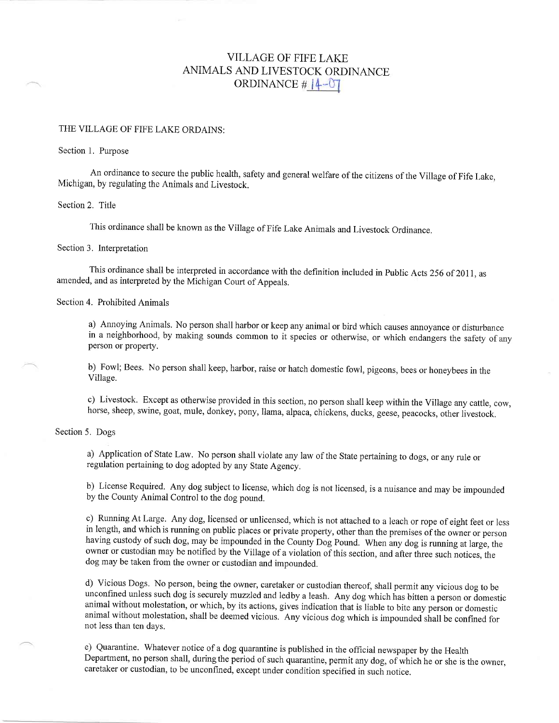# VILLAGE OF FIFE LAKE ANIMALS AND LIVESTOCK ORDINANCE ORDINANCE  $\#$   $|4-07|$

### THE VILLAGE OF FIFE LAKE ORDAINS:

#### Section 1. Purpose

An ordinance to secure the public health, safety and general welfare of the citizens of the Village of Fife Lake, Michigan, by regulating the Animals and Livestock.

#### Section 2. Title

This ordinance shall be known as the Village of Fife Lake Animals and Livestock Ordinance.

#### Section 3. Interpretation

This ordinance shall be interpreted in accordance with the definition included in Public Acts 256 of 2011, as amended, and as interpreted by the Michigan Court of Appeals.

#### Section 4. Prohibited Animals

a) Annoying Animals. No person shall harbor or keep any animal or bird which causes annoyance or disturbance in a neighborhood, by making sounds common to it species or otherwise, or which endangers the safety of any person or property.

b) Fowl; Bees. No person shall keep, harbor, raise or hatch domestic fowl, pigeons, bees or honeybees in the Village.

c) Livestock' Except as otherwise provided in this section, no person shall keep within the Village any cattle, cow, horse, sheep, swine, goat, mule, donkey, pony, llama, alpaca, chickens, ducks, geese, peacocks, other livestock.

#### Section 5. Dogs

a) Application of State Law. No person shall violate any law of the State peftaining to dogs, or any rule or regulation pertaining to dog adopted by any State Agency.

b) License Required. Any dog subject to license, which dog is not licensed, is a nuisance and may be impounded by the County Animal Control to the dog pound.

c) Running At Large. Any dog, licensed or unlicensed, which is not attached to a leach or rope of eight feet or less in length, and which is running on public places or private property, other than the premises of the owner or person. having custody of such dog, may be impounded in the County Dog Pound. When any dog is running at large, the owner or custodian may be notified by the Village of a violation of this section, and after three such notices, the dog may be taken from the owner or custodian and impounded.

d) Vicious Dogs. No person, being the owner, caretaker or custodian thereof, shall permit any vicious dog to be unconfined unless such dog is securely muzzled and ledby a leash. Any dog which has bitten a person or Jomestic animal without molestation, or which, by its actions, gives indication that is liable to bite any person or domestic animal without molestation, shall be deemed vicious. Any vicious dog which is impounded shall be confined for not less than ten days.

e) Quarantine. Whatever notice of a dog quarantine is published in the official newspaper by the Health Department, no person shall, during the period of such quarantine, permit any dog, of which he or she is the owner, caretaker or custodian, to be unconfined, except under condition specified in such notice.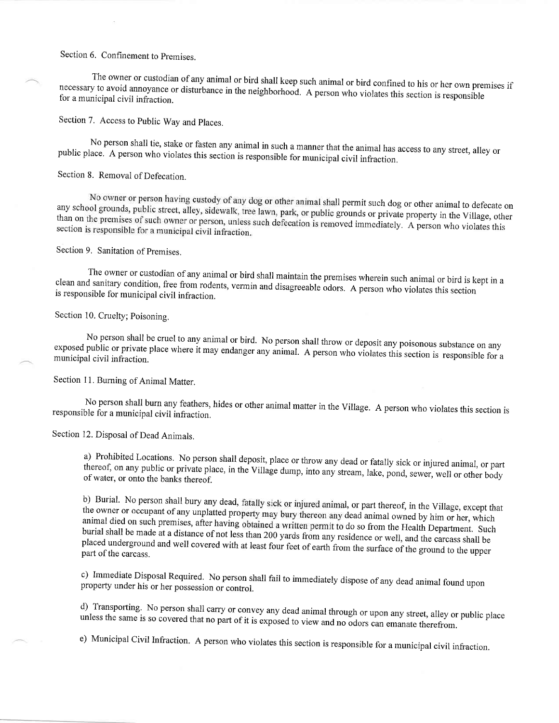## Section 6. Confinement to Premises.

The owner or custodian of any animal or bird shall keep such animal or bird confined to his or her own premises if for a municipal civil infraction. necessary to avoid annoyance or disturbance in the neighborhood. A person who violates this section is responsible

Section 7. Access to Public Way and Places.

public place' A No person shall tie, stake or fasten any animal in such a manner that the animal has access to any street, alley or<br>ace. A person who violates this section is responsible for municipal civil infraction.

Section 8. Removal of Defecation.

No owner or person having custody of any dog or other animal shall permit such dog or other animal to defecate on<br>any school grounds, public street, alley, sidewalk, tree lawn, park, or public grounds or private property i than on the premises of such owner or person, unless such defecation is removed impactivate property in the Village, other<br>than on the premises of such owner or person, unless such defecation is removed impactivately. section is responsible for a municipal civil infraction<br>section is responsible for a municipal civil infraction

Section 9. Sanitation of premises.

clean and The owner or custodian of any animal or bird shall maintain the premises wherein such animal or bird is kept in a<br>clean and sanitary condition, free from rodents, vermin and disagreeable odors. A person who violates this s

Section 10. Cruelty; Poisoning.

exposed public No person shall be cruel to any animal or bird. No person shall throw or deposit any poisonous substance on any<br>exposed public or private place where it may endanger any animal. A person who violates this section is respon

Section 11. Burning of Animal Matter.

responsible for a municipal civil infraction. No person shall burn any feathers, hides or other animal matter in the Village. A person who violates this section is

Section 12. Disposal of Dead Animals.

a) Prohibited Locations. No person shall deposit, place or throw any dead or fatally sick or injured animal, or part thereof, on any public or private place, in the Village dump, into any stream, lake, pond, sewer, well or other body of water, or onto the banks thereof.

b) Burial. No person shall bury any dead, fatally sick or injured animal, or part thereof, in the Village, except that the owner or occupant of any unplatted property may bury thereon any dead animal owned by him or her, w animal died on such premises, after having obtained a written permit to do so from the Health Department. Such burial shall be made at a distance of not less than 200 yards from any residence or well, and the carcass shall be placed underground and well covered with at least four feet of earth from the surface of the ground to the upper<br>part of the carcass.

property under his or her possession or control. c) Immediate Disposal Required. No person shall fail to immediately dispose of any dead animal found upon

unless the same is so covered that no part of it is exposed to view and no odors can emanate therefrom. d) Transporting. No person shall carry or convey any dead animal through or upon any street, alley or public place

e) Municipal Civil Infraction. A person who violates this section is responsible for a municipal civil infraction.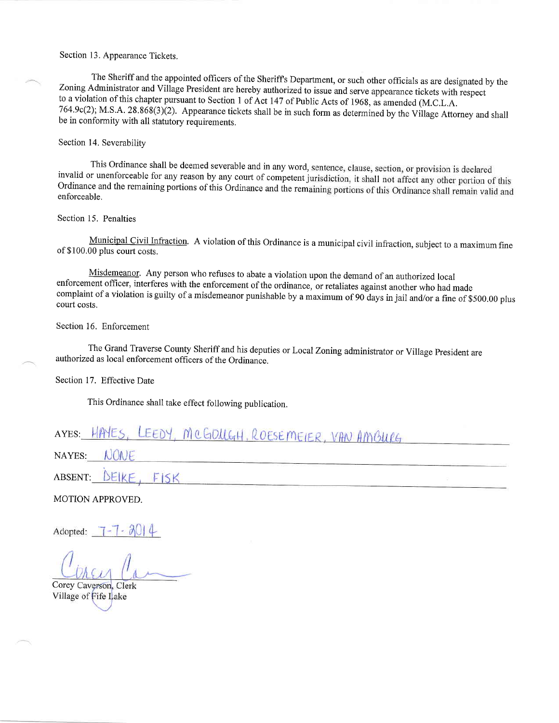Section 13. Appearance Tickets.

The Sheriff and the appointed officers of the Sheriff's Department, or such other officials as are designated by the Zoning Administrator and Village President are hereby authorized to issue and serve appearance tickets wi to a violation of this chapter pursuant to Section I of Act 147 of Public Acts of 196g, as amended (M.C.L.A. 764.9c(2); M.S.A. 28.868(3)(2). Appearance tickets shall be in such form as determined by the Village Attorney and shall be in conformity with all statutory requirements.

#### Section 14. Severability

This Ordinance shall be deemed severable and in any word, sentence, clause, section, or provision is declared invalid or unenforceable for any reason by any court of competent jurisdiction, it shall not affect any other portion of this Ordinance and the remaining portions of this Ordinance and the remaining portions of this Ordinance shall remain valid and enforceable.

#### Section 15. Penalties

Municipal Civil Infraction. A violation of this Ordinance is a municipal civil infraction, subject to a maximum fine of \$100.00 plus court costs.

Misdemeanor. Any person who refuses to abate a violation upon the demand of an authorized local enforcement officer, interferes with the enforcement of the ordinance, or retaliates against another who had made complaint of a violation is guilty of a misdemeanor punishable by a maximum of 90 days in jail and/or a fine of \$500.00 plus court costs.

#### Section 16. Enforcement

The Grand Traverse County Sheriff and his deputies or Local Zoning administrator or Village President are authorized as local enforcement officers of the Ordinance.

#### Section 17. Effective Date

This Ordinance shall take effect following publication.

# AYES: HAYES, LEEDY, MCGDUGH, ROESEMEIER, VAN AMBURG

NONE NAYES:

DEIKE, ABSENT: FISK

MOTIONAPPROVED.

Adopted:

Corey Caverson, Clerk Village of Fife Lake